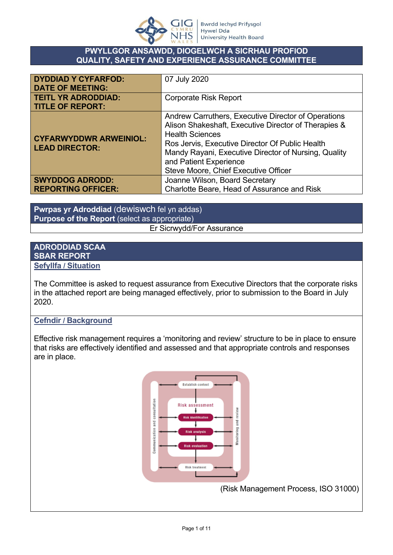

## **PWYLLGOR ANSAWDD, DIOGELWCH A SICRHAU PROFIOD QUALITY, SAFETY AND EXPERIENCE ASSURANCE COMMITTEE**

| <b>DYDDIAD Y CYFARFOD:</b><br><b>DATE OF MEETING:</b>  | 07 July 2020                                                                                                                                                                                                                                                                                                       |
|--------------------------------------------------------|--------------------------------------------------------------------------------------------------------------------------------------------------------------------------------------------------------------------------------------------------------------------------------------------------------------------|
| <b>TEITL YR ADRODDIAD:</b><br><b>TITLE OF REPORT:</b>  | <b>Corporate Risk Report</b>                                                                                                                                                                                                                                                                                       |
| <b>CYFARWYDDWR ARWEINIOL:</b><br><b>LEAD DIRECTOR:</b> | Andrew Carruthers, Executive Director of Operations<br>Alison Shakeshaft, Executive Director of Therapies &<br><b>Health Sciences</b><br>Ros Jervis, Executive Director Of Public Health<br>Mandy Rayani, Executive Director of Nursing, Quality<br>and Patient Experience<br>Steve Moore, Chief Executive Officer |
| <b>SWYDDOG ADRODD:</b><br><b>REPORTING OFFICER:</b>    | Joanne Wilson, Board Secretary<br>Charlotte Beare, Head of Assurance and Risk                                                                                                                                                                                                                                      |

**Pwrpas yr Adroddiad** (dewiswch fel yn addas) **Purpose of the Report** (select as appropriate) Er Sicrwydd/For Assurance

## **ADRODDIAD SCAA SBAR REPORT Sefyllfa / Situation**

The Committee is asked to request assurance from Executive Directors that the corporate risks in the attached report are being managed effectively, prior to submission to the Board in July 2020.

# **Cefndir / Background**

Effective risk management requires a 'monitoring and review' structure to be in place to ensure that risks are effectively identified and assessed and that appropriate controls and responses are in place.



(Risk Management Process, ISO 31000)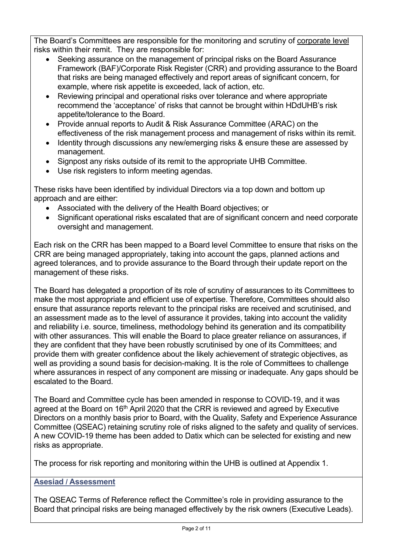The Board's Committees are responsible for the monitoring and scrutiny of corporate level risks within their remit. They are responsible for:

- Seeking assurance on the management of principal risks on the Board Assurance Framework (BAF)/Corporate Risk Register (CRR) and providing assurance to the Board that risks are being managed effectively and report areas of significant concern, for example, where risk appetite is exceeded, lack of action, etc.
- Reviewing principal and operational risks over tolerance and where appropriate recommend the 'acceptance' of risks that cannot be brought within HDdUHB's risk appetite/tolerance to the Board.
- Provide annual reports to Audit & Risk Assurance Committee (ARAC) on the effectiveness of the risk management process and management of risks within its remit.
- Identity through discussions any new/emerging risks & ensure these are assessed by management.
- Signpost any risks outside of its remit to the appropriate UHB Committee.
- Use risk registers to inform meeting agendas.

These risks have been identified by individual Directors via a top down and bottom up approach and are either:

- Associated with the delivery of the Health Board objectives; or
- Significant operational risks escalated that are of significant concern and need corporate oversight and management.

Each risk on the CRR has been mapped to a Board level Committee to ensure that risks on the CRR are being managed appropriately, taking into account the gaps, planned actions and agreed tolerances, and to provide assurance to the Board through their update report on the management of these risks.

The Board has delegated a proportion of its role of scrutiny of assurances to its Committees to make the most appropriate and efficient use of expertise. Therefore, Committees should also ensure that assurance reports relevant to the principal risks are received and scrutinised, and an assessment made as to the level of assurance it provides, taking into account the validity and reliability i.e. source, timeliness, methodology behind its generation and its compatibility with other assurances. This will enable the Board to place greater reliance on assurances, if they are confident that they have been robustly scrutinised by one of its Committees; and provide them with greater confidence about the likely achievement of strategic objectives, as well as providing a sound basis for decision-making. It is the role of Committees to challenge where assurances in respect of any component are missing or inadequate. Any gaps should be escalated to the Board.

The Board and Committee cycle has been amended in response to COVID-19, and it was agreed at the Board on 16<sup>th</sup> April 2020 that the CRR is reviewed and agreed by Executive Directors on a monthly basis prior to Board, with the Quality, Safety and Experience Assurance Committee (QSEAC) retaining scrutiny role of risks aligned to the safety and quality of services. A new COVID-19 theme has been added to Datix which can be selected for existing and new risks as appropriate.

The process for risk reporting and monitoring within the UHB is outlined at Appendix 1.

# **Asesiad / Assessment**

The QSEAC Terms of Reference reflect the Committee's role in providing assurance to the Board that principal risks are being managed effectively by the risk owners (Executive Leads).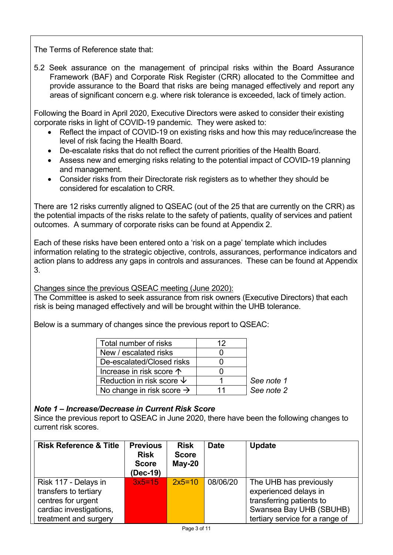The Terms of Reference state that:

5.2 Seek assurance on the management of principal risks within the Board Assurance Framework (BAF) and Corporate Risk Register (CRR) allocated to the Committee and provide assurance to the Board that risks are being managed effectively and report any areas of significant concern e.g. where risk tolerance is exceeded, lack of timely action.

Following the Board in April 2020, Executive Directors were asked to consider their existing corporate risks in light of COVID-19 pandemic. They were asked to:

- Reflect the impact of COVID-19 on existing risks and how this may reduce/increase the level of risk facing the Health Board.
- De-escalate risks that do not reflect the current priorities of the Health Board.
- Assess new and emerging risks relating to the potential impact of COVID-19 planning and management.
- Consider risks from their Directorate risk registers as to whether they should be considered for escalation to CRR.

There are 12 risks currently aligned to QSEAC (out of the 25 that are currently on the CRR) as the potential impacts of the risks relate to the safety of patients, quality of services and patient outcomes. A summary of corporate risks can be found at Appendix 2.

Each of these risks have been entered onto a 'risk on a page' template which includes information relating to the strategic objective, controls, assurances, performance indicators and action plans to address any gaps in controls and assurances. These can be found at Appendix 3.

Changes since the previous QSEAC meeting (June 2020):

The Committee is asked to seek assurance from risk owners (Executive Directors) that each risk is being managed effectively and will be brought within the UHB tolerance.

Below is a summary of changes since the previous report to QSEAC:

| Total number of risks                 | 12 |            |
|---------------------------------------|----|------------|
| New / escalated risks                 |    |            |
| De-escalated/Closed risks             |    |            |
| Increase in risk score 个              |    |            |
| Reduction in risk score $\psi$        |    | See note 1 |
| No change in risk score $\rightarrow$ | 11 | See note 2 |

#### *Note 1 – Increase/Decrease in Current Risk Score*

Since the previous report to QSEAC in June 2020, there have been the following changes to current risk scores.

| <b>Risk Reference &amp; Title</b> | <b>Previous</b><br><b>Risk</b><br><b>Score</b><br>(Dec-19) | <b>Risk</b><br><b>Score</b><br>$May-20$ | <b>Date</b> | <b>Update</b>                   |
|-----------------------------------|------------------------------------------------------------|-----------------------------------------|-------------|---------------------------------|
| Risk 117 - Delays in              | $3x5=15$                                                   | $2x5=10$                                | 08/06/20    | The UHB has previously          |
| transfers to tertiary             |                                                            |                                         |             | experienced delays in           |
| centres for urgent                |                                                            |                                         |             | transferring patients to        |
| cardiac investigations,           |                                                            |                                         |             | Swansea Bay UHB (SBUHB)         |
| treatment and surgery             |                                                            |                                         |             | tertiary service for a range of |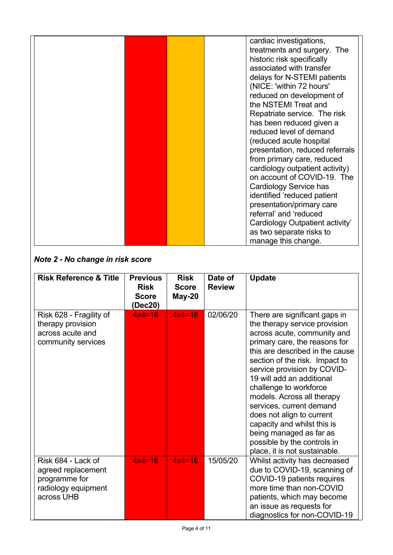|  | cardiac investigations,         |
|--|---------------------------------|
|  | treatments and surgery. The     |
|  |                                 |
|  | historic risk specifically      |
|  | associated with transfer        |
|  | delays for N-STEMI patients     |
|  | (NICE: 'within 72 hours'        |
|  | reduced on development of       |
|  | the NSTEMI Treat and            |
|  | Repatriate service. The risk    |
|  | has been reduced given a        |
|  | reduced level of demand         |
|  | (reduced acute hospital         |
|  | presentation, reduced referrals |
|  | from primary care, reduced      |
|  | cardiology outpatient activity) |
|  | on account of COVID-19. The     |
|  | Cardiology Service has          |
|  | identified 'reduced patient     |
|  | presentation/primary care       |
|  | referral' and 'reduced          |
|  | Cardiology Outpatient activity' |
|  | as two separate risks to        |
|  | manage this change.             |

# *Note 2 - No change in risk score*

| <b>Risk Reference &amp; Title</b>                                                              | <b>Previous</b><br><b>Risk</b><br><b>Score</b><br>(Dec20) | <b>Risk</b><br><b>Score</b><br><b>May-20</b> | Date of<br><b>Review</b> | <b>Update</b>                                                                                                                                                                                                                                                                                                                                                                                                                                                                                              |
|------------------------------------------------------------------------------------------------|-----------------------------------------------------------|----------------------------------------------|--------------------------|------------------------------------------------------------------------------------------------------------------------------------------------------------------------------------------------------------------------------------------------------------------------------------------------------------------------------------------------------------------------------------------------------------------------------------------------------------------------------------------------------------|
| Risk 628 - Fragility of<br>therapy provision<br>across acute and<br>community services         | $4x4=16$                                                  | $4x4=16$                                     | 02/06/20                 | There are significant gaps in<br>the therapy service provision<br>across acute, community and<br>primary care, the reasons for<br>this are described in the cause<br>section of the risk. Impact to<br>service provision by COVID-<br>19 will add an additional<br>challenge to workforce<br>models. Across all therapy<br>services, current demand<br>does not align to current<br>capacity and whilst this is<br>being managed as far as<br>possible by the controls in<br>place, it is not sustainable. |
| Risk 684 - Lack of<br>agreed replacement<br>programme for<br>radiology equipment<br>across UHB | $4x4=16$                                                  | $4x4=16$                                     | 15/05/20                 | Whilst activity has decreased<br>due to COVID-19, scanning of<br>COVID-19 patients requires<br>more time than non-COVID<br>patients, which may become<br>an issue as requests for<br>diagnostics for non-COVID-19                                                                                                                                                                                                                                                                                          |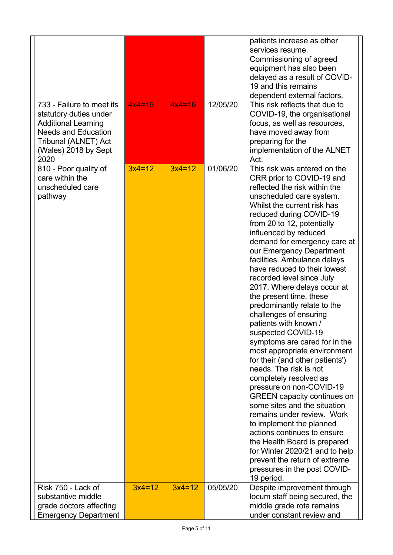| 733 - Failure to meet its<br>statutory duties under<br><b>Additional Learning</b><br><b>Needs and Education</b><br>Tribunal (ALNET) Act | $4x4=16$ | $4x4=16$ | 12/05/20 | patients increase as other<br>services resume.<br>Commissioning of agreed<br>equipment has also been<br>delayed as a result of COVID-<br>19 and this remains<br>dependent external factors.<br>This risk reflects that due to<br>COVID-19, the organisational<br>focus, as well as resources,<br>have moved away from<br>preparing for the                                                                                                                                                                                                                                                                                                                                                                                                                                                                                                                                                                                                                                                                                             |
|-----------------------------------------------------------------------------------------------------------------------------------------|----------|----------|----------|----------------------------------------------------------------------------------------------------------------------------------------------------------------------------------------------------------------------------------------------------------------------------------------------------------------------------------------------------------------------------------------------------------------------------------------------------------------------------------------------------------------------------------------------------------------------------------------------------------------------------------------------------------------------------------------------------------------------------------------------------------------------------------------------------------------------------------------------------------------------------------------------------------------------------------------------------------------------------------------------------------------------------------------|
| (Wales) 2018 by Sept<br>2020<br>810 - Poor quality of                                                                                   | $3x4=12$ | $3x4=12$ | 01/06/20 | implementation of the ALNET<br>Act.<br>This risk was entered on the                                                                                                                                                                                                                                                                                                                                                                                                                                                                                                                                                                                                                                                                                                                                                                                                                                                                                                                                                                    |
| care within the<br>unscheduled care<br>pathway                                                                                          |          |          |          | CRR prior to COVID-19 and<br>reflected the risk within the<br>unscheduled care system.<br>Whilst the current risk has<br>reduced during COVID-19<br>from 20 to 12, potentially<br>influenced by reduced<br>demand for emergency care at<br>our Emergency Department<br>facilities. Ambulance delays<br>have reduced to their lowest<br>recorded level since July<br>2017. Where delays occur at<br>the present time, these<br>predominantly relate to the<br>challenges of ensuring<br>patients with known /<br>suspected COVID-19<br>symptoms are cared for in the<br>most appropriate environment<br>for their (and other patients')<br>needs. The risk is not<br>completely resolved as<br>pressure on non-COVID-19<br><b>GREEN</b> capacity continues on<br>some sites and the situation<br>remains under review. Work<br>to implement the planned<br>actions continues to ensure<br>the Health Board is prepared<br>for Winter 2020/21 and to help<br>prevent the return of extreme<br>pressures in the post COVID-<br>19 period. |
| Risk 750 - Lack of                                                                                                                      | $3x4=12$ | $3x4=12$ | 05/05/20 | Despite improvement through                                                                                                                                                                                                                                                                                                                                                                                                                                                                                                                                                                                                                                                                                                                                                                                                                                                                                                                                                                                                            |
| substantive middle<br>grade doctors affecting                                                                                           |          |          |          | locum staff being secured, the<br>middle grade rota remains                                                                                                                                                                                                                                                                                                                                                                                                                                                                                                                                                                                                                                                                                                                                                                                                                                                                                                                                                                            |
| <b>Emergency Department</b>                                                                                                             |          |          |          | under constant review and                                                                                                                                                                                                                                                                                                                                                                                                                                                                                                                                                                                                                                                                                                                                                                                                                                                                                                                                                                                                              |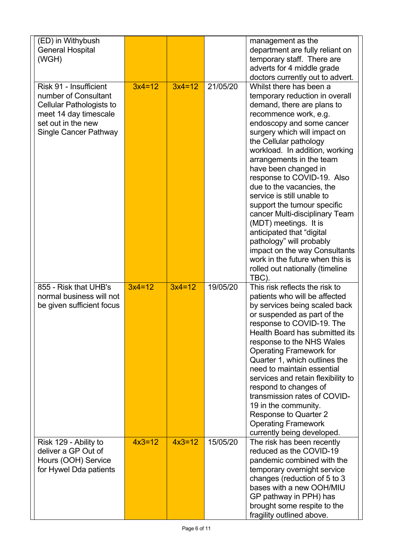| (ED) in Withybush<br><b>General Hospital</b><br>(WGH)                                                                                                     |          |          |          | management as the<br>department are fully reliant on<br>temporary staff. There are<br>adverts for 4 middle grade<br>doctors currently out to advert.                                                                                                                                                                                                                                                                                                                                                                                                                                                                                                      |
|-----------------------------------------------------------------------------------------------------------------------------------------------------------|----------|----------|----------|-----------------------------------------------------------------------------------------------------------------------------------------------------------------------------------------------------------------------------------------------------------------------------------------------------------------------------------------------------------------------------------------------------------------------------------------------------------------------------------------------------------------------------------------------------------------------------------------------------------------------------------------------------------|
| Risk 91 - Insufficient<br>number of Consultant<br><b>Cellular Pathologists to</b><br>meet 14 day timescale<br>set out in the new<br>Single Cancer Pathway | $3x4=12$ | $3x4=12$ | 21/05/20 | Whilst there has been a<br>temporary reduction in overall<br>demand, there are plans to<br>recommence work, e.g.<br>endoscopy and some cancer<br>surgery which will impact on<br>the Cellular pathology<br>workload. In addition, working<br>arrangements in the team<br>have been changed in<br>response to COVID-19. Also<br>due to the vacancies, the<br>service is still unable to<br>support the tumour specific<br>cancer Multi-disciplinary Team<br>(MDT) meetings. It is<br>anticipated that "digital<br>pathology" will probably<br>impact on the way Consultants<br>work in the future when this is<br>rolled out nationally (timeline<br>TBC). |
| 855 - Risk that UHB's<br>normal business will not<br>be given sufficient focus                                                                            | $3x4=12$ | $3x4=12$ | 19/05/20 | This risk reflects the risk to<br>patients who will be affected<br>by services being scaled back<br>or suspended as part of the<br>response to COVID-19. The<br>Health Board has submitted its<br>response to the NHS Wales<br><b>Operating Framework for</b><br>Quarter 1, which outlines the<br>need to maintain essential<br>services and retain flexibility to<br>respond to changes of<br>transmission rates of COVID-<br>19 in the community.<br><b>Response to Quarter 2</b><br><b>Operating Framework</b><br>currently being developed.                                                                                                           |
| Risk 129 - Ability to<br>deliver a GP Out of<br>Hours (OOH) Service<br>for Hywel Dda patients                                                             | $4x3=12$ | $4x3=12$ | 15/05/20 | The risk has been recently<br>reduced as the COVID-19<br>pandemic combined with the<br>temporary overnight service<br>changes (reduction of 5 to 3<br>bases with a new OOH/MIU<br>GP pathway in PPH) has<br>brought some respite to the<br>fragility outlined above.                                                                                                                                                                                                                                                                                                                                                                                      |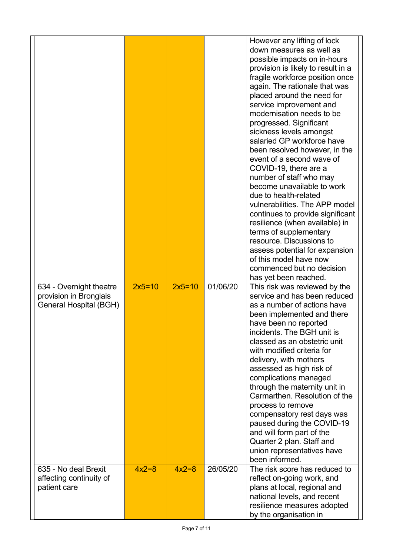|                                                                             |          |          |          | However any lifting of lock<br>down measures as well as<br>possible impacts on in-hours<br>provision is likely to result in a<br>fragile workforce position once<br>again. The rationale that was<br>placed around the need for<br>service improvement and<br>modernisation needs to be<br>progressed. Significant<br>sickness levels amongst<br>salaried GP workforce have<br>been resolved however, in the<br>event of a second wave of<br>COVID-19, there are a<br>number of staff who may<br>become unavailable to work<br>due to health-related<br>vulnerabilities. The APP model<br>continues to provide significant<br>resilience (when available) in<br>terms of supplementary<br>resource. Discussions to<br>assess potential for expansion<br>of this model have now<br>commenced but no decision<br>has yet been reached. |
|-----------------------------------------------------------------------------|----------|----------|----------|--------------------------------------------------------------------------------------------------------------------------------------------------------------------------------------------------------------------------------------------------------------------------------------------------------------------------------------------------------------------------------------------------------------------------------------------------------------------------------------------------------------------------------------------------------------------------------------------------------------------------------------------------------------------------------------------------------------------------------------------------------------------------------------------------------------------------------------|
| 634 - Overnight theatre<br>provision in Bronglais<br>General Hospital (BGH) | $2x5=10$ | $2x5=10$ | 01/06/20 | This risk was reviewed by the<br>service and has been reduced<br>as a number of actions have<br>been implemented and there<br>have been no reported<br>incidents. The BGH unit is<br>classed as an obstetric unit<br>with modified criteria for<br>delivery, with mothers<br>assessed as high risk of<br>complications managed<br>through the maternity unit in<br>Carmarthen, Resolution of the<br>process to remove<br>compensatory rest days was<br>paused during the COVID-19<br>and will form part of the<br>Quarter 2 plan. Staff and<br>union representatives have<br>been informed.                                                                                                                                                                                                                                          |
| 635 - No deal Brexit<br>affecting continuity of<br>patient care             | $4x2=8$  | $4x2=8$  | 26/05/20 | The risk score has reduced to<br>reflect on-going work, and<br>plans at local, regional and<br>national levels, and recent<br>resilience measures adopted<br>by the organisation in                                                                                                                                                                                                                                                                                                                                                                                                                                                                                                                                                                                                                                                  |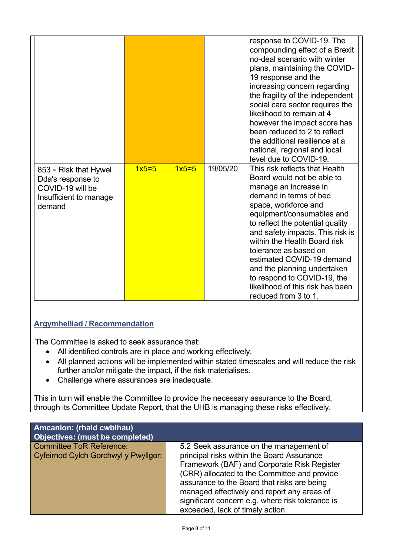|                                                                                                    |         |         |          | response to COVID-19. The<br>compounding effect of a Brexit<br>no-deal scenario with winter<br>plans, maintaining the COVID-<br>19 response and the<br>increasing concern regarding<br>the fragility of the independent<br>social care sector requires the<br>likelihood to remain at 4<br>however the impact score has<br>been reduced to 2 to reflect<br>the additional resilience at a<br>national, regional and local<br>level due to COVID-19.          |
|----------------------------------------------------------------------------------------------------|---------|---------|----------|--------------------------------------------------------------------------------------------------------------------------------------------------------------------------------------------------------------------------------------------------------------------------------------------------------------------------------------------------------------------------------------------------------------------------------------------------------------|
| 853 - Risk that Hywel<br>Dda's response to<br>COVID-19 will be<br>Insufficient to manage<br>demand | $1x5=5$ | $1x5=5$ | 19/05/20 | This risk reflects that Health<br>Board would not be able to<br>manage an increase in<br>demand in terms of bed<br>space, workforce and<br>equipment/consumables and<br>to reflect the potential quality<br>and safety impacts. This risk is<br>within the Health Board risk<br>tolerance as based on<br>estimated COVID-19 demand<br>and the planning undertaken<br>to respond to COVID-19, the<br>likelihood of this risk has been<br>reduced from 3 to 1. |

# **Argymhelliad / Recommendation**

The Committee is asked to seek assurance that:

- All identified controls are in place and working effectively.
- All planned actions will be implemented within stated timescales and will reduce the risk further and/or mitigate the impact, if the risk materialises.
- Challenge where assurances are inadequate.

This in turn will enable the Committee to provide the necessary assurance to the Board, through its Committee Update Report, that the UHB is managing these risks effectively.

| <b>Amcanion: (rhaid cwblhau)</b><br>Objectives: (must be completed)     |                                                                                                                                                                                                                                                                                                                                        |
|-------------------------------------------------------------------------|----------------------------------------------------------------------------------------------------------------------------------------------------------------------------------------------------------------------------------------------------------------------------------------------------------------------------------------|
| <b>Committee ToR Reference:</b><br>Cyfeirnod Cylch Gorchwyl y Pwyllgor: | 5.2 Seek assurance on the management of<br>principal risks within the Board Assurance<br>Framework (BAF) and Corporate Risk Register<br>(CRR) allocated to the Committee and provide<br>assurance to the Board that risks are being<br>managed effectively and report any areas of<br>significant concern e.g. where risk tolerance is |
|                                                                         | exceeded, lack of timely action.                                                                                                                                                                                                                                                                                                       |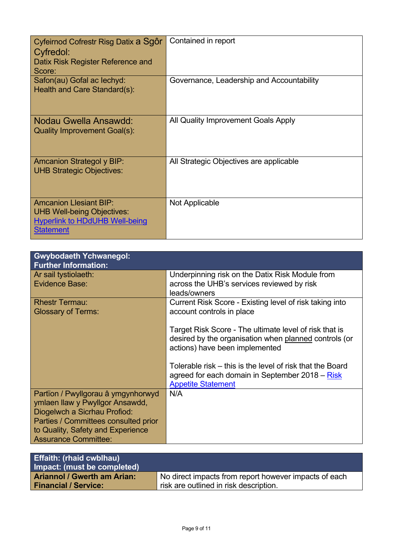| Cyfeirnod Cofrestr Risg Datix a Sgôr<br>Cyfredol:<br>Datix Risk Register Reference and<br>Score:                                | Contained in report                       |
|---------------------------------------------------------------------------------------------------------------------------------|-------------------------------------------|
| Safon(au) Gofal ac lechyd:<br>Health and Care Standard(s):                                                                      | Governance, Leadership and Accountability |
| Nodau Gwella Ansawdd:<br>Quality Improvement Goal(s):                                                                           | All Quality Improvement Goals Apply       |
| <b>Amcanion Strategol y BIP:</b><br><b>UHB Strategic Objectives:</b>                                                            | All Strategic Objectives are applicable   |
| <b>Amcanion Llesiant BIP:</b><br><b>UHB Well-being Objectives:</b><br><b>Hyperlink to HDdUHB Well-being</b><br><b>Statement</b> | Not Applicable                            |

| <b>Gwybodaeth Ychwanegol:</b><br><b>Further Information:</b>                                                                                                                                                      |                                                                                                                                                   |
|-------------------------------------------------------------------------------------------------------------------------------------------------------------------------------------------------------------------|---------------------------------------------------------------------------------------------------------------------------------------------------|
| Ar sail tystiolaeth:<br>Evidence Base:                                                                                                                                                                            | Underpinning risk on the Datix Risk Module from<br>across the UHB's services reviewed by risk<br>leads/owners                                     |
| <b>Rhestr Termau:</b><br><b>Glossary of Terms:</b>                                                                                                                                                                | Current Risk Score - Existing level of risk taking into<br>account controls in place                                                              |
|                                                                                                                                                                                                                   | Target Risk Score - The ultimate level of risk that is<br>desired by the organisation when planned controls (or<br>actions) have been implemented |
|                                                                                                                                                                                                                   | Tolerable risk – this is the level of risk that the Board<br>agreed for each domain in September 2018 – Risk<br><b>Appetite Statement</b>         |
| Partïon / Pwyllgorau â ymgynhorwyd<br>ymlaen llaw y Pwyllgor Ansawdd,<br>Diogelwch a Sicrhau Profiod:<br>Parties / Committees consulted prior<br>to Quality, Safety and Experience<br><b>Assurance Committee:</b> | N/A                                                                                                                                               |

| <b>Effaith: (rhaid cwblhau)</b><br>Impact: (must be completed) |                                                       |
|----------------------------------------------------------------|-------------------------------------------------------|
| <b>Ariannol / Gwerth am Arian:</b>                             | No direct impacts from report however impacts of each |
| <b>Financial / Service:</b>                                    | risk are outlined in risk description.                |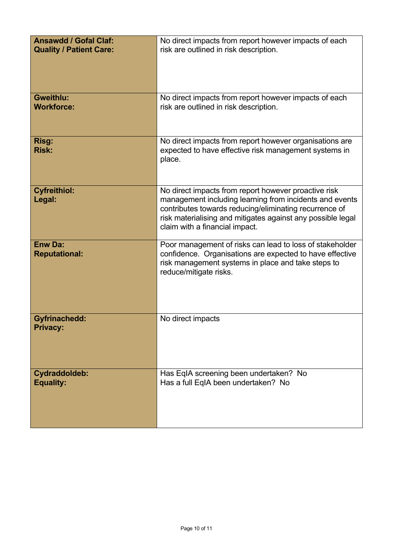| <b>Ansawdd / Gofal Claf:</b>            | No direct impacts from report however impacts of each                                                                                                                                                                                                                      |
|-----------------------------------------|----------------------------------------------------------------------------------------------------------------------------------------------------------------------------------------------------------------------------------------------------------------------------|
| <b>Quality / Patient Care:</b>          | risk are outlined in risk description.                                                                                                                                                                                                                                     |
|                                         |                                                                                                                                                                                                                                                                            |
| <b>Gweithlu:</b><br><b>Workforce:</b>   | No direct impacts from report however impacts of each<br>risk are outlined in risk description.                                                                                                                                                                            |
| Risg:<br><b>Risk:</b>                   | No direct impacts from report however organisations are<br>expected to have effective risk management systems in<br>place.                                                                                                                                                 |
| <b>Cyfreithiol:</b><br>Legal:           | No direct impacts from report however proactive risk<br>management including learning from incidents and events<br>contributes towards reducing/eliminating recurrence of<br>risk materialising and mitigates against any possible legal<br>claim with a financial impact. |
| <b>Enw Da:</b><br><b>Reputational:</b>  | Poor management of risks can lead to loss of stakeholder<br>confidence. Organisations are expected to have effective<br>risk management systems in place and take steps to<br>reduce/mitigate risks.                                                                       |
| <b>Gyfrinachedd:</b><br><b>Privacy:</b> | No direct impacts                                                                                                                                                                                                                                                          |
| Cydraddoldeb:<br><b>Equality:</b>       | Has EqIA screening been undertaken? No<br>Has a full EqIA been undertaken? No                                                                                                                                                                                              |